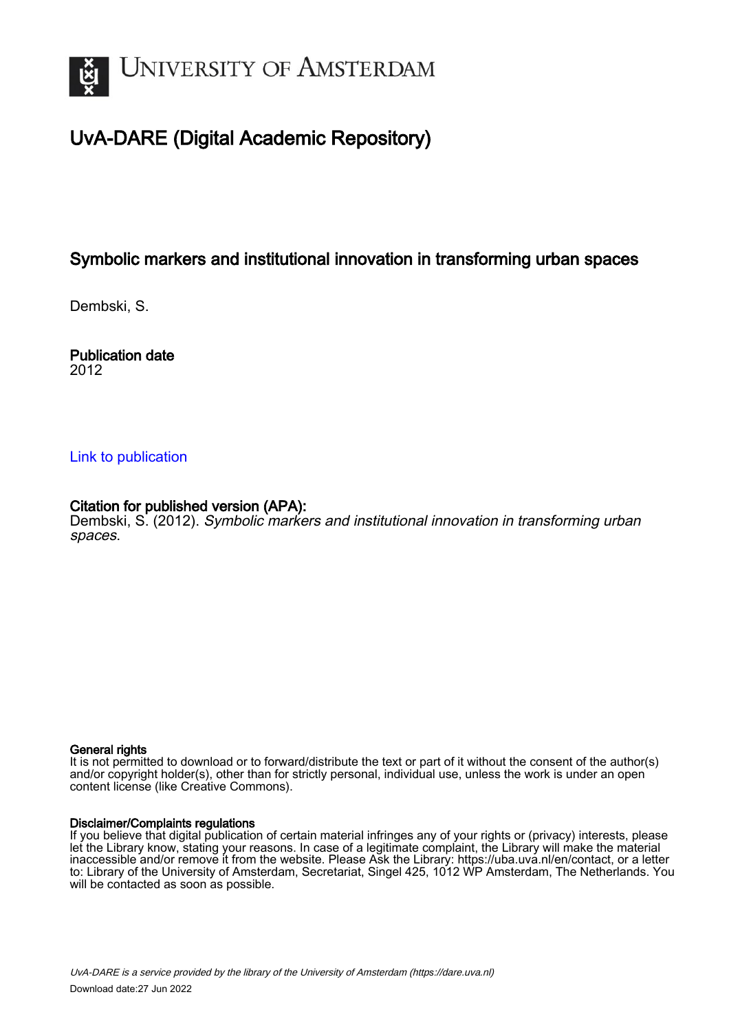

# UvA-DARE (Digital Academic Repository)

## Symbolic markers and institutional innovation in transforming urban spaces

Dembski, S.

Publication date 2012

### [Link to publication](https://dare.uva.nl/personal/pure/en/publications/symbolic-markers-and-institutional-innovation-in-transforming-urban-spaces(801c2baf-4526-482a-b83a-f8395aabf065).html)

### Citation for published version (APA):

Dembski, S. (2012). Symbolic markers and institutional innovation in transforming urban spaces.

#### General rights

It is not permitted to download or to forward/distribute the text or part of it without the consent of the author(s) and/or copyright holder(s), other than for strictly personal, individual use, unless the work is under an open content license (like Creative Commons).

#### Disclaimer/Complaints regulations

If you believe that digital publication of certain material infringes any of your rights or (privacy) interests, please let the Library know, stating your reasons. In case of a legitimate complaint, the Library will make the material inaccessible and/or remove it from the website. Please Ask the Library: https://uba.uva.nl/en/contact, or a letter to: Library of the University of Amsterdam, Secretariat, Singel 425, 1012 WP Amsterdam, The Netherlands. You will be contacted as soon as possible.